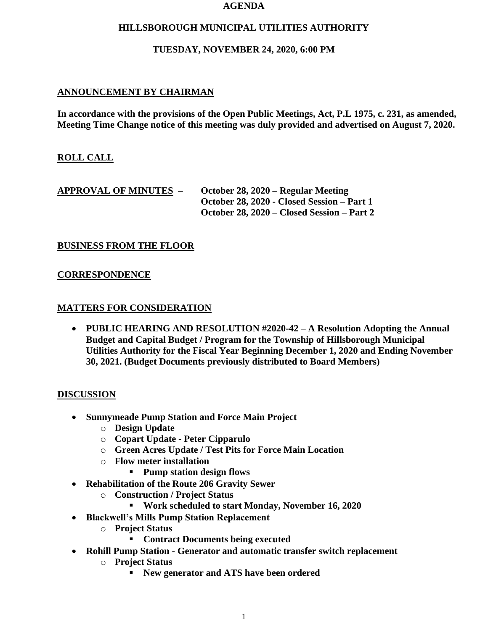#### **AGENDA**

### **HILLSBOROUGH MUNICIPAL UTILITIES AUTHORITY**

### **TUESDAY, NOVEMBER 24, 2020, 6:00 PM**

# **ANNOUNCEMENT BY CHAIRMAN**

**In accordance with the provisions of the Open Public Meetings, Act, P.L 1975, c. 231, as amended, Meeting Time Change notice of this meeting was duly provided and advertised on August 7, 2020.**

## **ROLL CALL**

| <b>APPROVAL OF MINUTES –</b> | October 28, 2020 – Regular Meeting         |
|------------------------------|--------------------------------------------|
|                              | October 28, 2020 - Closed Session – Part 1 |
|                              | October 28, 2020 – Closed Session – Part 2 |

### **BUSINESS FROM THE FLOOR**

### **CORRESPONDENCE**

### **MATTERS FOR CONSIDERATION**

• **PUBLIC HEARING AND RESOLUTION #2020-42 – A Resolution Adopting the Annual Budget and Capital Budget / Program for the Township of Hillsborough Municipal Utilities Authority for the Fiscal Year Beginning December 1, 2020 and Ending November 30, 2021. (Budget Documents previously distributed to Board Members)**

### **DISCUSSION**

- **Sunnymeade Pump Station and Force Main Project**
	- o **Design Update**
	- o **Copart Update - Peter Cipparulo**
	- o **Green Acres Update / Test Pits for Force Main Location**
	- o **Flow meter installation**
		- **Pump station design flows**
- **Rehabilitation of the Route 206 Gravity Sewer**
	- o **Construction / Project Status**
		- **Work scheduled to start Monday, November 16, 2020**
- **Blackwell's Mills Pump Station Replacement**
	- o **Project Status**
		- **Contract Documents being executed**
- **Rohill Pump Station - Generator and automatic transfer switch replacement**
	- o **Project Status**
		- **New generator and ATS have been ordered**